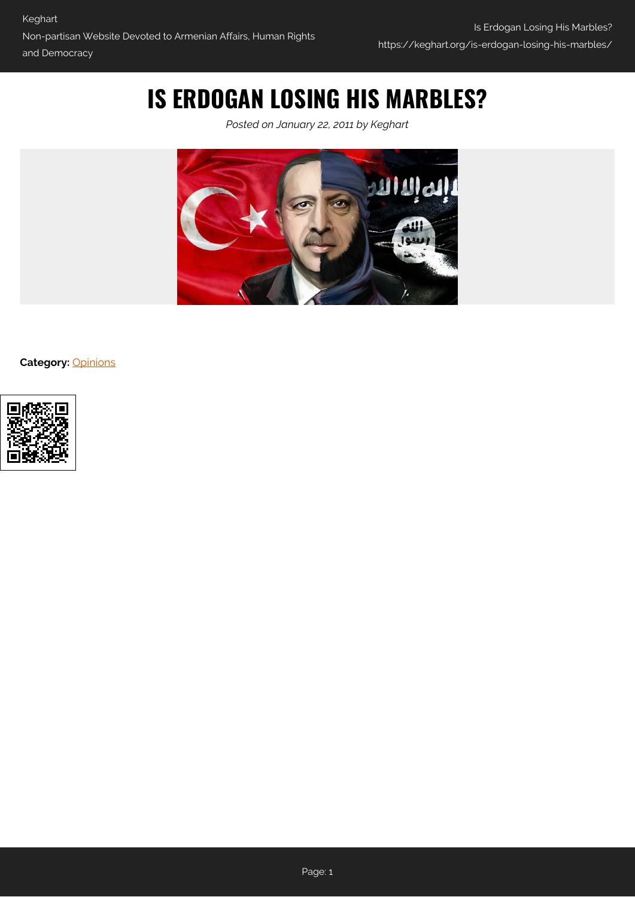## **IS ERDOGAN LOSING HIS MARBLES?**

*Posted on January 22, 2011 by Keghart*



**Category:** [Opinions](https://keghart.org/category/opinions/)

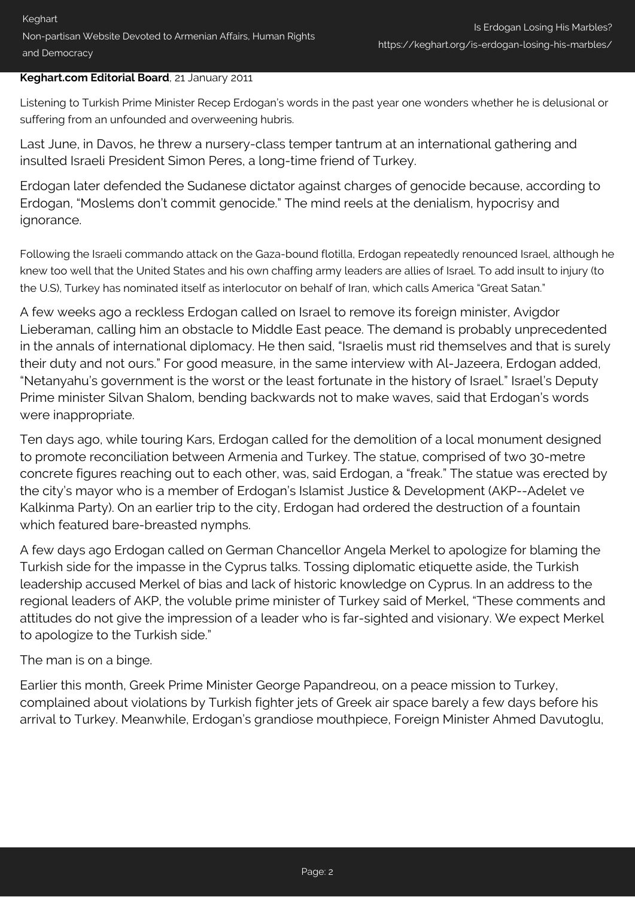## **Keghart.com Editorial Board**, 21 January 2011

Listening to Turkish Prime Minister Recep Erdogan's words in the past year one wonders whether he is delusional or suffering from an unfounded and overweening hubris.

Last June, in Davos, he threw a nursery-class temper tantrum at an international gathering and insulted Israeli President Simon Peres, a long-time friend of Turkey.

Erdogan later defended the Sudanese dictator against charges of genocide because, according to Erdogan, "Moslems don't commit genocide." The mind reels at the denialism, hypocrisy and ignorance.

Following the Israeli commando attack on the Gaza-bound flotilla, Erdogan repeatedly renounced Israel, although he knew too well that the United States and his own chaffing army leaders are allies of Israel. To add insult to injury (to the U.S), Turkey has nominated itself as interlocutor on behalf of Iran, which calls America "Great Satan."

A few weeks ago a reckless Erdogan called on Israel to remove its foreign minister, Avigdor Lieberaman, calling him an obstacle to Middle East peace. The demand is probably unprecedented in the annals of international diplomacy. He then said, "Israelis must rid themselves and that is surely their duty and not ours." For good measure, in the same interview with Al-Jazeera, Erdogan added, "Netanyahu's government is the worst or the least fortunate in the history of Israel." Israel's Deputy Prime minister Silvan Shalom, bending backwards not to make waves, said that Erdogan's words were inappropriate.

Ten days ago, while touring Kars, Erdogan called for the demolition of a local monument designed to promote reconciliation between Armenia and Turkey. The statue, comprised of two 30-metre concrete figures reaching out to each other, was, said Erdogan, a "freak." The statue was erected by the city's mayor who is a member of Erdogan's Islamist Justice & Development (AKP--Adelet ve Kalkinma Party). On an earlier trip to the city, Erdogan had ordered the destruction of a fountain which featured bare-breasted nymphs.

A few days ago Erdogan called on German Chancellor Angela Merkel to apologize for blaming the Turkish side for the impasse in the Cyprus talks. Tossing diplomatic etiquette aside, the Turkish leadership accused Merkel of bias and lack of historic knowledge on Cyprus. In an address to the regional leaders of AKP, the voluble prime minister of Turkey said of Merkel, "These comments and attitudes do not give the impression of a leader who is far-sighted and visionary. We expect Merkel to apologize to the Turkish side."

The man is on a binge.

Earlier this month, Greek Prime Minister George Papandreou, on a peace mission to Turkey, complained about violations by Turkish fighter jets of Greek air space barely a few days before his arrival to Turkey. Meanwhile, Erdogan's grandiose mouthpiece, Foreign Minister Ahmed Davutoglu,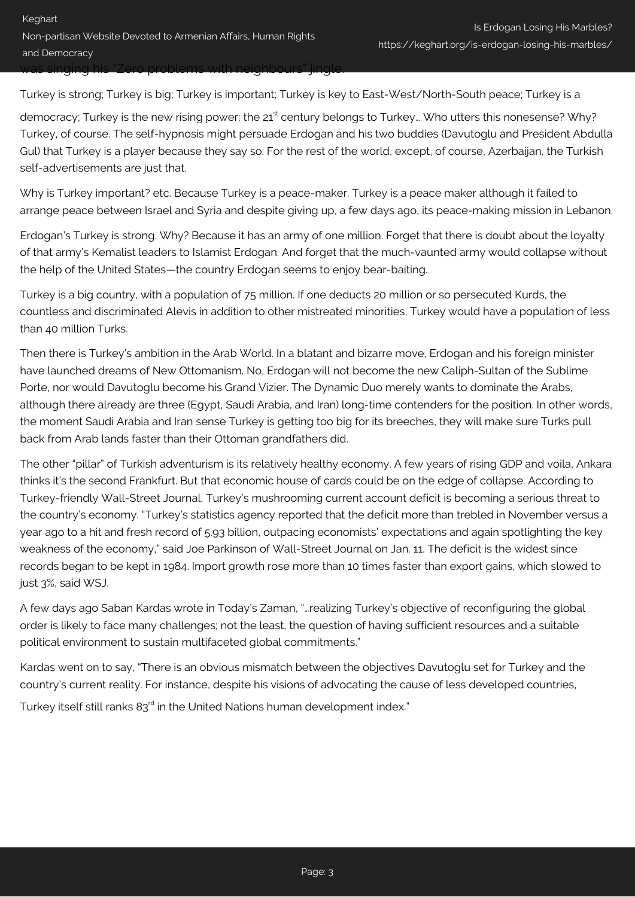Turkey is strong; Turkey is big; Turkey is important; Turkey is key to East-West/North-South peace; Turkey is a

democracy; Turkey is the new rising power; the 21<sup>st</sup> century belongs to Turkey... Who utters this nonesense? Why? Turkey, of course. The self-hypnosis might persuade Erdogan and his two buddies (Davutoglu and President Abdulla Gul) that Turkey is a player because they say so. For the rest of the world, except, of course, Azerbaijan, the Turkish self-advertisements are just that.

Why is Turkey important? etc. Because Turkey is a peace-maker. Turkey is a peace maker although it failed to arrange peace between Israel and Syria and despite giving up, a few days ago, its peace-making mission in Lebanon.

Erdogan's Turkey is strong. Why? Because it has an army of one million. Forget that there is doubt about the loyalty of that army's Kemalist leaders to Islamist Erdogan. And forget that the much-vaunted army would collapse without the help of the United States—the country Erdogan seems to enjoy bear-baiting.

Turkey is a big country, with a population of 75 million. If one deducts 20 million or so persecuted Kurds, the countless and discriminated Alevis in addition to other mistreated minorities, Turkey would have a population of less than 40 million Turks.

Then there is Turkey's ambition in the Arab World. In a blatant and bizarre move, Erdogan and his foreign minister have launched dreams of New Ottomanism. No, Erdogan will not become the new Caliph-Sultan of the Sublime Porte, nor would Davutoglu become his Grand Vizier. The Dynamic Duo merely wants to dominate the Arabs, although there already are three (Egypt, Saudi Arabia, and Iran) long-time contenders for the position. In other words, the moment Saudi Arabia and Iran sense Turkey is getting too big for its breeches, they will make sure Turks pull back from Arab lands faster than their Ottoman grandfathers did.

The other "pillar" of Turkish adventurism is its relatively healthy economy. A few years of rising GDP and voila, Ankara thinks it's the second Frankfurt. But that economic house of cards could be on the edge of collapse. According to Turkey-friendly Wall-Street Journal, Turkey's mushrooming current account deficit is becoming a serious threat to the country's economy. "Turkey's statistics agency reported that the deficit more than trebled in November versus a year ago to a hit and fresh record of 5.93 billion, outpacing economists' expectations and again spotlighting the key weakness of the economy," said Joe Parkinson of Wall-Street Journal on Jan. 11. The deficit is the widest since records began to be kept in 1984. Import growth rose more than 10 times faster than export gains, which slowed to just 3%, said WSJ.

A few days ago Saban Kardas wrote in Today's Zaman, "…realizing Turkey's objective of reconfiguring the global order is likely to face many challenges; not the least, the question of having sufficient resources and a suitable political environment to sustain multifaceted global commitments."

Kardas went on to say, "There is an obvious mismatch between the objectives Davutoglu set for Turkey and the country's current reality. For instance, despite his visions of advocating the cause of less developed countries,

Turkey itself still ranks 83<sup>rd</sup> in the United Nations human development index."